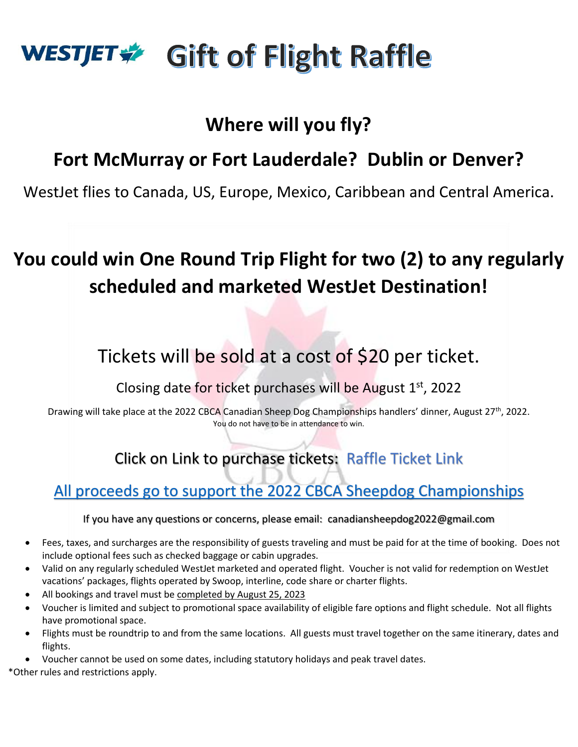# WESTJET → Gift of Flight Raffle

### **Where will you fly?**

### **Fort McMurray or Fort Lauderdale? Dublin or Denver?**

WestJet flies to Canada, US, Europe, Mexico, Caribbean and Central America.

## **You could win One Round Trip Flight for two (2) to any regularly scheduled and marketed WestJet Destination!**

## Tickets will be sold at a cost of \$20 per ticket.

Closing date for ticket purchases will be August 1st, 2022

Drawing will take place at the 2022 CBCA Canadian Sheep Dog Championships handlers' dinner, August 27<sup>th</sup>, 2022. You do not have to be in attendance to win.

#### Click on Link to purchase tickets: [Raffle Ticket Link](https://docs.google.com/forms/d/e/1FAIpQLScFmeCmMOjYYdSaQiENVwPa3RVMKPRvGAo6_qO51KOwGD9Mdg/viewform)

#### All proceeds go to support the 2022 CBCA Sheepdog Championships

#### If you have any questions or concerns, please email: canadiansheepdog2022@gmail.com

- Fees, taxes, and surcharges are the responsibility of guests traveling and must be paid for at the time of booking. Does not include optional fees such as checked baggage or cabin upgrades.
- Valid on any regularly scheduled WestJet marketed and operated flight. Voucher is not valid for redemption on WestJet vacations' packages, flights operated by Swoop, interline, code share or charter flights.
- All bookings and travel must be completed by August 25, 2023
- Voucher is limited and subject to promotional space availability of eligible fare options and flight schedule. Not all flights have promotional space.
- Flights must be roundtrip to and from the same locations. All guests must travel together on the same itinerary, dates and flights.
- Voucher cannot be used on some dates, including statutory holidays and peak travel dates.

\*Other rules and restrictions apply.